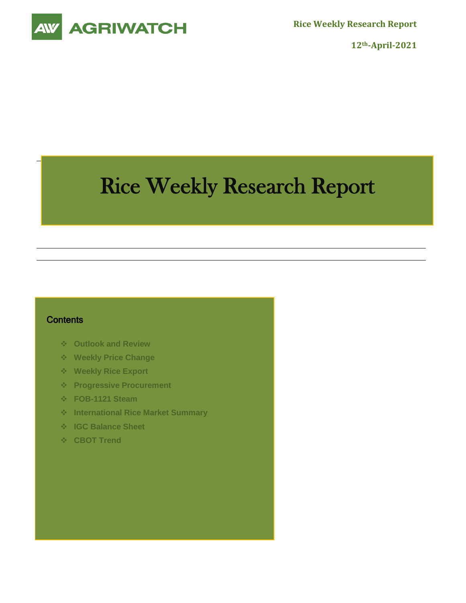

**Rice Weekly Research Report**

**12th-April-2021**

# Rice Weekly Research Report

## **Contents**

- **Outlook and Review**
- **Weekly Price Change**
- **Weekly Rice Export**
- **Progressive Procurement**
- **FOB-1121 Steam**
- **International Rice Market Summary**
- **IGC Balance Sheet**
- **CBOT Trend**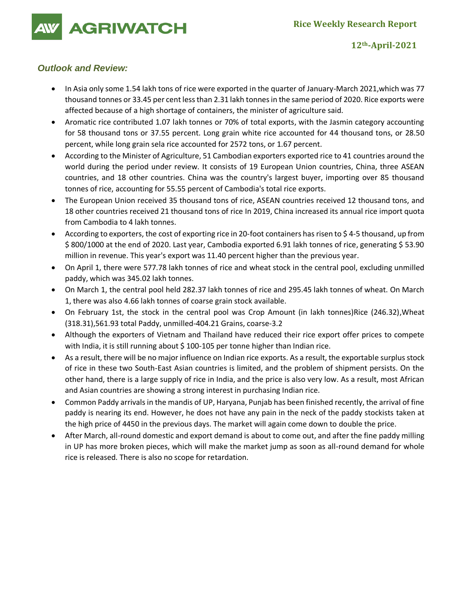**AGRIWATCH** 

**12th-April-2021**

## *Outlook and Review:*

- In Asia only some 1.54 lakh tons of rice were exported in the quarter of January-March 2021, which was 77 thousand tonnes or 33.45 per cent less than 2.31 lakh tonnes in the same period of 2020. Rice exports were affected because of a high shortage of containers, the minister of agriculture said.
- Aromatic rice contributed 1.07 lakh tonnes or 70% of total exports, with the Jasmin category accounting for 58 thousand tons or 37.55 percent. Long grain white rice accounted for 44 thousand tons, or 28.50 percent, while long grain sela rice accounted for 2572 tons, or 1.67 percent.
- According to the Minister of Agriculture, 51 Cambodian exporters exported rice to 41 countries around the world during the period under review. It consists of 19 European Union countries, China, three ASEAN countries, and 18 other countries. China was the country's largest buyer, importing over 85 thousand tonnes of rice, accounting for 55.55 percent of Cambodia's total rice exports.
- The European Union received 35 thousand tons of rice, ASEAN countries received 12 thousand tons, and 18 other countries received 21 thousand tons of rice In 2019, China increased its annual rice import quota from Cambodia to 4 lakh tonnes.
- According to exporters, the cost of exporting rice in 20-foot containers has risen to \$ 4-5 thousand, up from \$ 800/1000 at the end of 2020. Last year, Cambodia exported 6.91 lakh tonnes of rice, generating \$ 53.90 million in revenue. This year's export was 11.40 percent higher than the previous year.
- On April 1, there were 577.78 lakh tonnes of rice and wheat stock in the central pool, excluding unmilled paddy, which was 345.02 lakh tonnes.
- On March 1, the central pool held 282.37 lakh tonnes of rice and 295.45 lakh tonnes of wheat. On March 1, there was also 4.66 lakh tonnes of coarse grain stock available.
- On February 1st, the stock in the central pool was Crop Amount (in lakh tonnes)Rice (246.32),Wheat (318.31),561.93 total Paddy, unmilled-404.21 Grains, coarse-3.2
- Although the exporters of Vietnam and Thailand have reduced their rice export offer prices to compete with India, it is still running about \$100-105 per tonne higher than Indian rice.
- As a result, there will be no major influence on Indian rice exports. As a result, the exportable surplus stock of rice in these two South-East Asian countries is limited, and the problem of shipment persists. On the other hand, there is a large supply of rice in India, and the price is also very low. As a result, most African and Asian countries are showing a strong interest in purchasing Indian rice.
- Common Paddy arrivals in the mandis of UP, Haryana, Punjab has been finished recently, the arrival of fine paddy is nearing its end. However, he does not have any pain in the neck of the paddy stockists taken at the high price of 4450 in the previous days. The market will again come down to double the price.
- After March, all-round domestic and export demand is about to come out, and after the fine paddy milling in UP has more broken pieces, which will make the market jump as soon as all-round demand for whole rice is released. There is also no scope for retardation.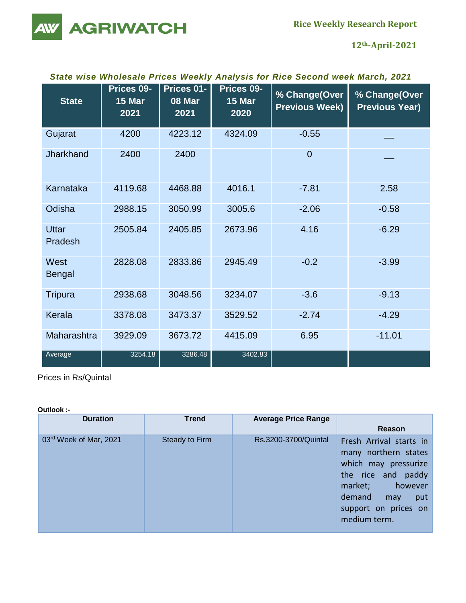**Rice Weekly Research Report**

**AGRIWATCH** 

**12th-April-2021**

# *State wise Wholesale Prices Weekly Analysis for Rice Second week March, 2021*

| <b>State</b>            | Prices 09-<br>15 Mar<br>2021 | Prices 01-<br>08 Mar<br>2021 | Prices 09-<br><b>15 Mar</b><br>2020 | % Change(Over<br><b>Previous Week)</b> | % Change(Over<br><b>Previous Year)</b> |
|-------------------------|------------------------------|------------------------------|-------------------------------------|----------------------------------------|----------------------------------------|
| Gujarat                 | 4200                         | 4223.12                      | 4324.09                             | $-0.55$                                |                                        |
| Jharkhand               | 2400                         | 2400                         |                                     | $\overline{0}$                         |                                        |
| Karnataka               | 4119.68                      | 4468.88                      | 4016.1                              | $-7.81$                                | 2.58                                   |
| Odisha                  | 2988.15                      | 3050.99                      | 3005.6                              | $-2.06$                                | $-0.58$                                |
| <b>Uttar</b><br>Pradesh | 2505.84                      | 2405.85                      | 2673.96                             | 4.16                                   | $-6.29$                                |
| West<br><b>Bengal</b>   | 2828.08                      | 2833.86                      | 2945.49                             | $-0.2$                                 | $-3.99$                                |
| <b>Tripura</b>          | 2938.68                      | 3048.56                      | 3234.07                             | $-3.6$                                 | $-9.13$                                |
| Kerala                  | 3378.08                      | 3473.37                      | 3529.52                             | $-2.74$                                | $-4.29$                                |
| Maharashtra             | 3929.09                      | 3673.72                      | 4415.09                             | 6.95                                   | $-11.01$                               |
| Average                 | 3254.18                      | 3286.48                      | 3402.83                             |                                        |                                        |

Prices in Rs/Quintal

#### **Outlook :-**

| <b>Duration</b>        | <b>Trend</b>   | <b>Average Price Range</b> |                                                                                                                                                                                     |
|------------------------|----------------|----------------------------|-------------------------------------------------------------------------------------------------------------------------------------------------------------------------------------|
|                        |                |                            | Reason                                                                                                                                                                              |
| 03rd Week of Mar, 2021 | Steady to Firm | Rs.3200-3700/Quintal       | Fresh Arrival starts in<br>many northern states<br>which may pressurize<br>the rice and paddy<br>market;<br>however<br>demand<br>put<br>may<br>support on prices on<br>medium term. |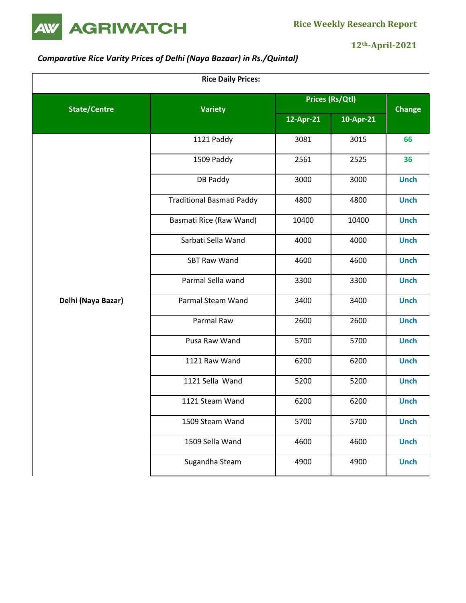

# **12th-April-2021**

# *Comparative Rice Varity Prices of Delhi (Naya Bazaar) in Rs./Quintal)*

| <b>Rice Daily Prices:</b> |                           |                 |               |             |  |
|---------------------------|---------------------------|-----------------|---------------|-------------|--|
| <b>State/Centre</b>       | <b>Variety</b>            | Prices (Rs/Qtl) | <b>Change</b> |             |  |
|                           |                           | 12-Apr-21       | 10-Apr-21     |             |  |
|                           | 1121 Paddy                | 3081            | 3015          | 66          |  |
|                           | 1509 Paddy                | 2561            | 2525          | 36          |  |
|                           | DB Paddy                  | 3000            | 3000          | <b>Unch</b> |  |
|                           | Traditional Basmati Paddy | 4800            | 4800          | <b>Unch</b> |  |
|                           | Basmati Rice (Raw Wand)   | 10400           | 10400         | <b>Unch</b> |  |
|                           | Sarbati Sella Wand        | 4000            | 4000          | <b>Unch</b> |  |
|                           | <b>SBT Raw Wand</b>       | 4600            | 4600          | <b>Unch</b> |  |
|                           | Parmal Sella wand         | 3300            | 3300          | <b>Unch</b> |  |
| Delhi (Naya Bazar)        | Parmal Steam Wand         | 3400            | 3400          | <b>Unch</b> |  |
|                           | Parmal Raw                | 2600            | 2600          | <b>Unch</b> |  |
|                           | Pusa Raw Wand             | 5700            | 5700          | <b>Unch</b> |  |
|                           | 1121 Raw Wand             | 6200            | 6200          | <b>Unch</b> |  |
|                           | 1121 Sella Wand           | 5200            | 5200          | <b>Unch</b> |  |
|                           | 1121 Steam Wand           | 6200            | 6200          | <b>Unch</b> |  |
|                           | 1509 Steam Wand           | 5700            | 5700          | <b>Unch</b> |  |
|                           | 1509 Sella Wand           | 4600            | 4600          | <b>Unch</b> |  |
|                           | Sugandha Steam            | 4900            | 4900          | <b>Unch</b> |  |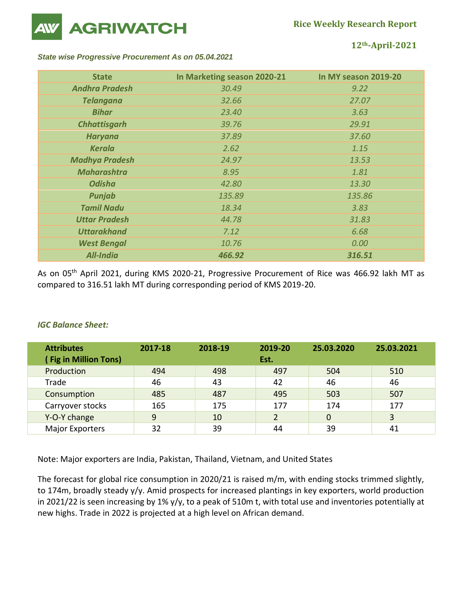

**12th-April-2021**

#### *State wise Progressive Procurement As on 05.04.2021*

| <b>State</b>          | In Marketing season 2020-21 | In MY season 2019-20 |
|-----------------------|-----------------------------|----------------------|
| <b>Andhra Pradesh</b> | 30.49                       | 9.22                 |
| <b>Telangana</b>      | 32.66                       | 27.07                |
| <b>Bihar</b>          | 23.40                       | 3.63                 |
| <b>Chhattisgarh</b>   | 39.76                       | 29.91                |
| <b>Haryana</b>        | 37.89                       | 37.60                |
| <b>Kerala</b>         | 2.62                        | 1.15                 |
| <b>Madhya Pradesh</b> | 24.97                       | 13.53                |
| <b>Maharashtra</b>    | 8.95                        | 1.81                 |
| <b>Odisha</b>         | 42.80                       | 13.30                |
| Punjab                | 135.89                      | 135.86               |
| <b>Tamil Nadu</b>     | 18.34                       | 3.83                 |
| <b>Uttar Pradesh</b>  | 44.78                       | 31.83                |
| <b>Uttarakhand</b>    | 7.12                        | 6.68                 |
| <b>West Bengal</b>    | 10.76                       | 0.00                 |
| <b>All-India</b>      | 466.92                      | 316.51               |

As on 05<sup>th</sup> April 2021, during KMS 2020-21, Progressive Procurement of Rice was 466.92 lakh MT as compared to 316.51 lakh MT during corresponding period of KMS 2019-20.

## *IGC Balance Sheet:*

| <b>Attributes</b><br><b>Fig in Million Tons)</b> | 2017-18 | 2018-19 | 2019-20<br>Est. | 25.03.2020 | 25.03.2021 |
|--------------------------------------------------|---------|---------|-----------------|------------|------------|
| Production                                       | 494     | 498     | 497             | 504        | 510        |
| Trade                                            | 46      | 43      | 42              | 46         | 46         |
| Consumption                                      | 485     | 487     | 495             | 503        | 507        |
| Carryover stocks                                 | 165     | 175     | 177             | 174        | 177        |
| Y-O-Y change                                     | 9       | 10      | 2               | 0          | 3          |
| <b>Major Exporters</b>                           | 32      | 39      | 44              | 39         | 41         |

Note: Major exporters are India, Pakistan, Thailand, Vietnam, and United States

The forecast for global rice consumption in 2020/21 is raised m/m, with ending stocks trimmed slightly, to 174m, broadly steady y/y. Amid prospects for increased plantings in key exporters, world production in 2021/22 is seen increasing by 1% y/y, to a peak of 510m t, with total use and inventories potentially at new highs. Trade in 2022 is projected at a high level on African demand.